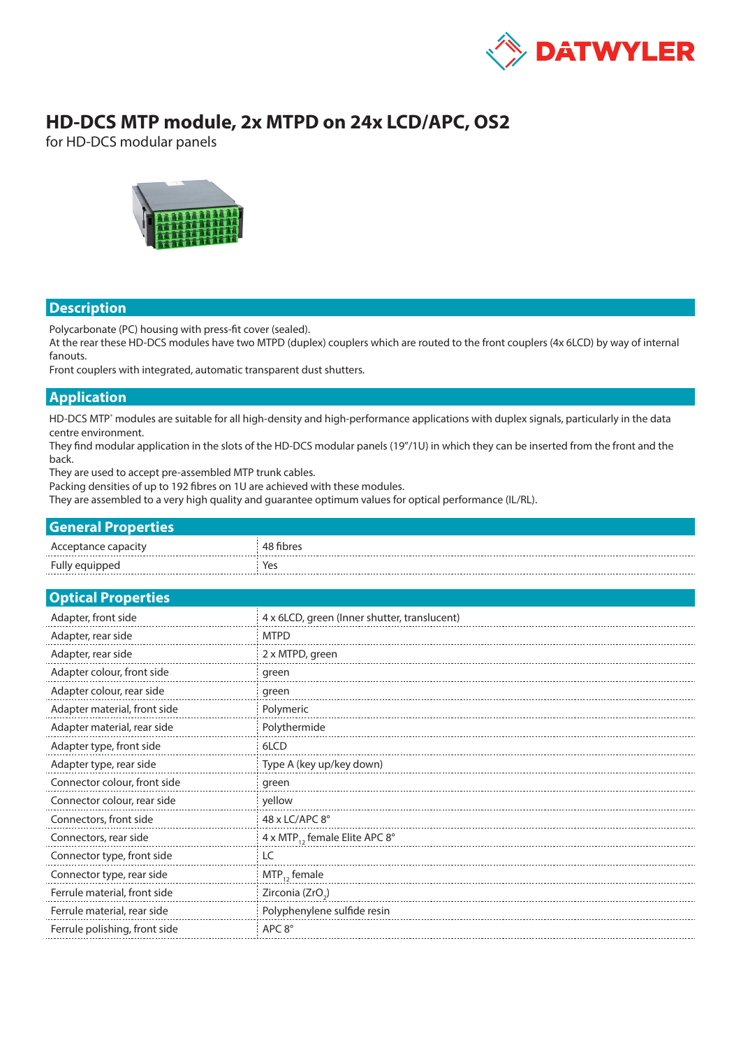

# **HD-DCS MTP module, 2x MTPD on 24x LCD/APC, OS2**

for HD-DCS modular panels



#### **Description**

Polycarbonate (PC) housing with press-fit cover (sealed).

At the rear these HD-DCS modules have two MTPD (duplex) couplers which are routed to the front couplers (4x 6LCD) by way of internal fanouts.

Front couplers with integrated, automatic transparent dust shutters.

#### **Application**

HD-DCS MTP<sup>®</sup> modules are suitable for all high-density and high-performance applications with duplex signals, particularly in the data centre environment.

They find modular application in the slots of the HD-DCS modular panels (19"/1U) in which they can be inserted from the front and the back.

They are used to accept pre-assembled MTP trunk cables.

Packing densities of up to 192 fibres on 1U are achieved with these modules.

They are assembled to a very high quality and guarantee optimum values for optical performance (IL/RL).

| <b>General Properties</b> |           |
|---------------------------|-----------|
| Acceptance capacity       | 48 fibres |
| Fully equipped            | Yes       |

| <b>Optical Properties</b>     |                                              |  |  |  |  |
|-------------------------------|----------------------------------------------|--|--|--|--|
| Adapter, front side           | 4 x 6LCD, green (Inner shutter, translucent) |  |  |  |  |
| Adapter, rear side            | <b>MTPD</b>                                  |  |  |  |  |
| Adapter, rear side            | 2 x MTPD, green                              |  |  |  |  |
| Adapter colour, front side    | green                                        |  |  |  |  |
| Adapter colour, rear side     | green                                        |  |  |  |  |
| Adapter material, front side  | Polymeric                                    |  |  |  |  |
| Adapter material, rear side   | Polythermide                                 |  |  |  |  |
| Adapter type, front side      | 6LCD                                         |  |  |  |  |
| Adapter type, rear side       | Type A (key up/key down)                     |  |  |  |  |
| Connector colour, front side  | green                                        |  |  |  |  |
| Connector colour, rear side   | yellow                                       |  |  |  |  |
| Connectors, front side        | 48 x LC/APC 8°                               |  |  |  |  |
| Connectors, rear side         | 4 x MTP <sub>12</sub> female Elite APC 8°    |  |  |  |  |
| Connector type, front side    | LC                                           |  |  |  |  |
| Connector type, rear side     | $MTP_{12}$ female                            |  |  |  |  |
| Ferrule material, front side  | Zirconia (ZrO <sub>2</sub> )                 |  |  |  |  |
| Ferrule material, rear side   | Polyphenylene sulfide resin                  |  |  |  |  |
| Ferrule polishing, front side | APC $8^\circ$                                |  |  |  |  |
|                               |                                              |  |  |  |  |